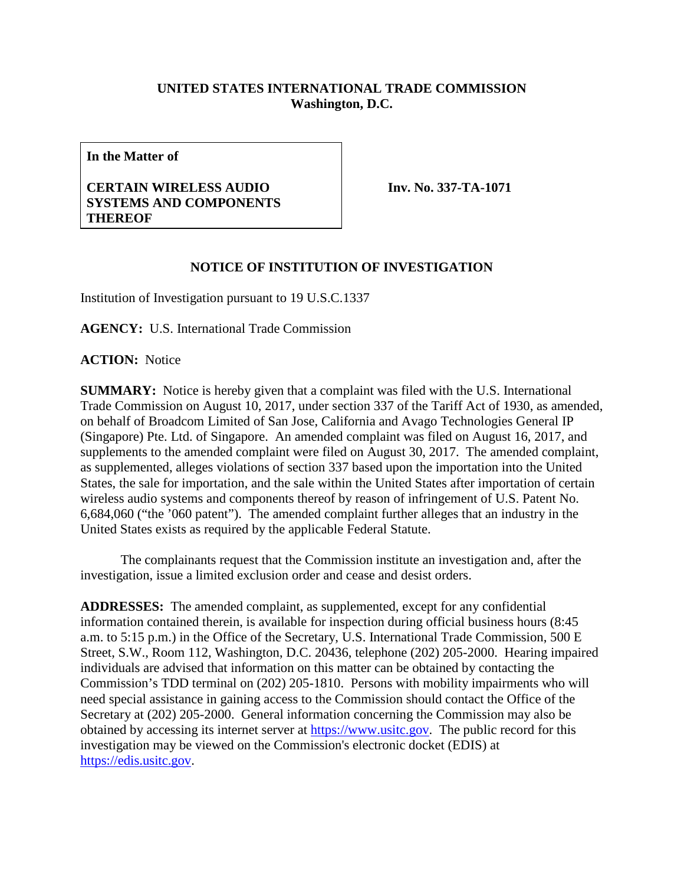## **UNITED STATES INTERNATIONAL TRADE COMMISSION Washington, D.C.**

**In the Matter of**

## **CERTAIN WIRELESS AUDIO SYSTEMS AND COMPONENTS THEREOF**

**Inv. No. 337-TA-1071**

## **NOTICE OF INSTITUTION OF INVESTIGATION**

Institution of Investigation pursuant to 19 U.S.C.1337

**AGENCY:** U.S. International Trade Commission

**ACTION:** Notice

**SUMMARY:** Notice is hereby given that a complaint was filed with the U.S. International Trade Commission on August 10, 2017, under section 337 of the Tariff Act of 1930, as amended, on behalf of Broadcom Limited of San Jose, California and Avago Technologies General IP (Singapore) Pte. Ltd. of Singapore. An amended complaint was filed on August 16, 2017, and supplements to the amended complaint were filed on August 30, 2017. The amended complaint, as supplemented, alleges violations of section 337 based upon the importation into the United States, the sale for importation, and the sale within the United States after importation of certain wireless audio systems and components thereof by reason of infringement of U.S. Patent No. 6,684,060 ("the '060 patent"). The amended complaint further alleges that an industry in the United States exists as required by the applicable Federal Statute.

The complainants request that the Commission institute an investigation and, after the investigation, issue a limited exclusion order and cease and desist orders.

**ADDRESSES:** The amended complaint, as supplemented, except for any confidential information contained therein, is available for inspection during official business hours (8:45 a.m. to 5:15 p.m.) in the Office of the Secretary, U.S. International Trade Commission, 500 E Street, S.W., Room 112, Washington, D.C. 20436, telephone (202) 205-2000. Hearing impaired individuals are advised that information on this matter can be obtained by contacting the Commission's TDD terminal on (202) 205-1810. Persons with mobility impairments who will need special assistance in gaining access to the Commission should contact the Office of the Secretary at (202) 205-2000. General information concerning the Commission may also be obtained by accessing its internet server at [https://www.usitc.gov.](https://www.usitc.gov/) The public record for this investigation may be viewed on the Commission's electronic docket (EDIS) at [https://edis.usitc.gov.](https://edis.usitc.gov/)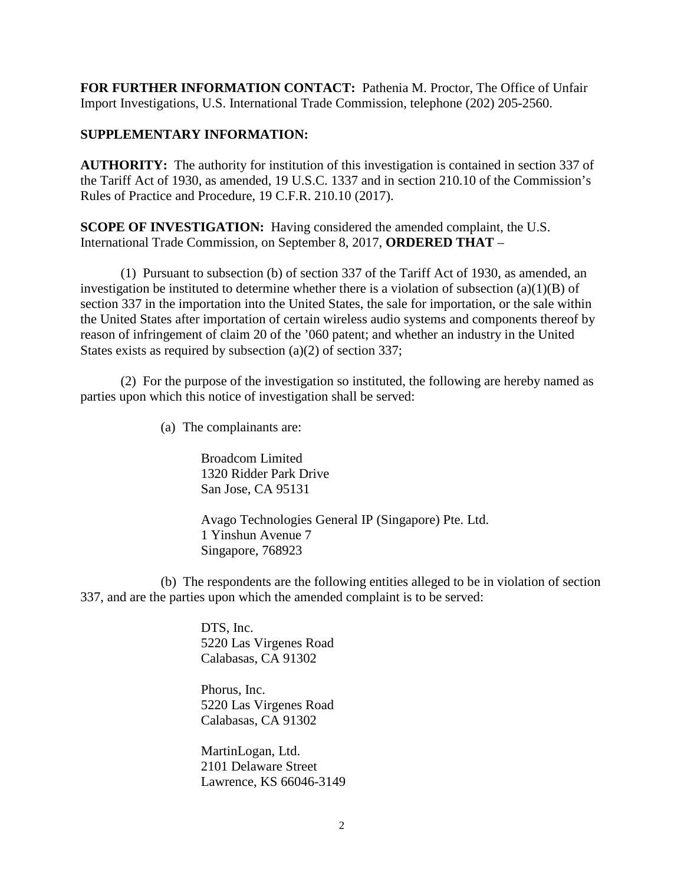**FOR FURTHER INFORMATION CONTACT:** Pathenia M. Proctor, The Office of Unfair Import Investigations, U.S. International Trade Commission, telephone (202) 205-2560.

## **SUPPLEMENTARY INFORMATION:**

**AUTHORITY:** The authority for institution of this investigation is contained in section 337 of the Tariff Act of 1930, as amended, 19 U.S.C. 1337 and in section 210.10 of the Commission's Rules of Practice and Procedure, 19 C.F.R. 210.10 (2017).

**SCOPE OF INVESTIGATION:** Having considered the amended complaint, the U.S. International Trade Commission, on September 8, 2017, **ORDERED THAT** –

(1) Pursuant to subsection (b) of section 337 of the Tariff Act of 1930, as amended, an investigation be instituted to determine whether there is a violation of subsection  $(a)(1)(B)$  of section 337 in the importation into the United States, the sale for importation, or the sale within the United States after importation of certain wireless audio systems and components thereof by reason of infringement of claim 20 of the '060 patent; and whether an industry in the United States exists as required by subsection (a)(2) of section 337;

(2) For the purpose of the investigation so instituted, the following are hereby named as parties upon which this notice of investigation shall be served:

(a) The complainants are:

Broadcom Limited 1320 Ridder Park Drive San Jose, CA 95131

Avago Technologies General IP (Singapore) Pte. Ltd. 1 Yinshun Avenue 7 Singapore, 768923

(b) The respondents are the following entities alleged to be in violation of section 337, and are the parties upon which the amended complaint is to be served:

> DTS, Inc. 5220 Las Virgenes Road Calabasas, CA 91302

> Phorus, Inc. 5220 Las Virgenes Road Calabasas, CA 91302

MartinLogan, Ltd. 2101 Delaware Street Lawrence, KS 66046-3149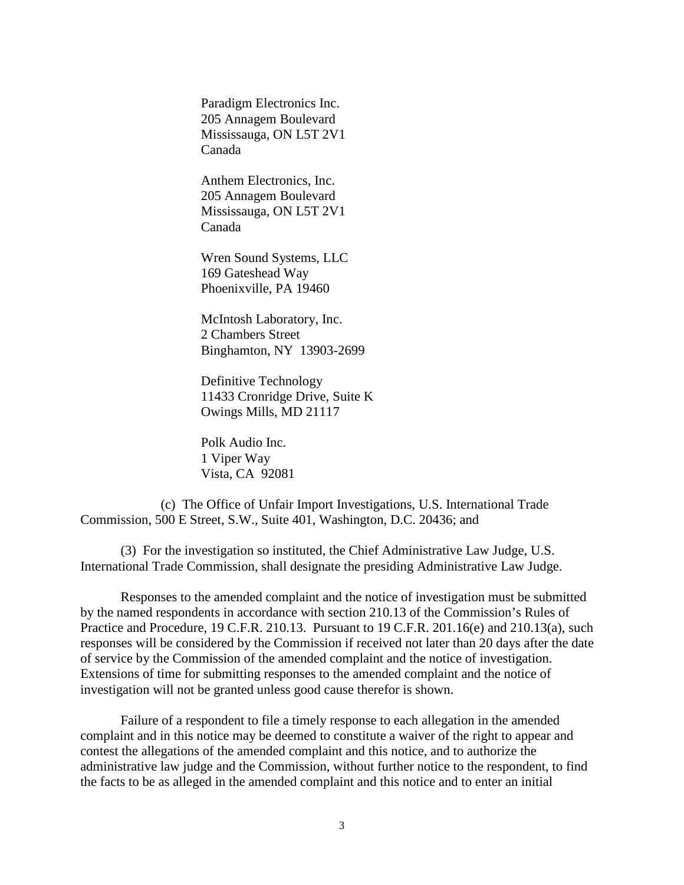Paradigm Electronics Inc. 205 Annagem Boulevard Mississauga, ON L5T 2V1 Canada

Anthem Electronics, Inc. 205 Annagem Boulevard Mississauga, ON L5T 2V1 Canada

Wren Sound Systems, LLC 169 Gateshead Way Phoenixville, PA 19460

McIntosh Laboratory, Inc. 2 Chambers Street Binghamton, NY 13903-2699

Definitive Technology 11433 Cronridge Drive, Suite K Owings Mills, MD 21117

Polk Audio Inc. 1 Viper Way Vista, CA 92081

(c) The Office of Unfair Import Investigations, U.S. International Trade Commission, 500 E Street, S.W., Suite 401, Washington, D.C. 20436; and

(3) For the investigation so instituted, the Chief Administrative Law Judge, U.S. International Trade Commission, shall designate the presiding Administrative Law Judge.

Responses to the amended complaint and the notice of investigation must be submitted by the named respondents in accordance with section 210.13 of the Commission's Rules of Practice and Procedure, 19 C.F.R. 210.13. Pursuant to 19 C.F.R. 201.16(e) and 210.13(a), such responses will be considered by the Commission if received not later than 20 days after the date of service by the Commission of the amended complaint and the notice of investigation. Extensions of time for submitting responses to the amended complaint and the notice of investigation will not be granted unless good cause therefor is shown.

Failure of a respondent to file a timely response to each allegation in the amended complaint and in this notice may be deemed to constitute a waiver of the right to appear and contest the allegations of the amended complaint and this notice, and to authorize the administrative law judge and the Commission, without further notice to the respondent, to find the facts to be as alleged in the amended complaint and this notice and to enter an initial